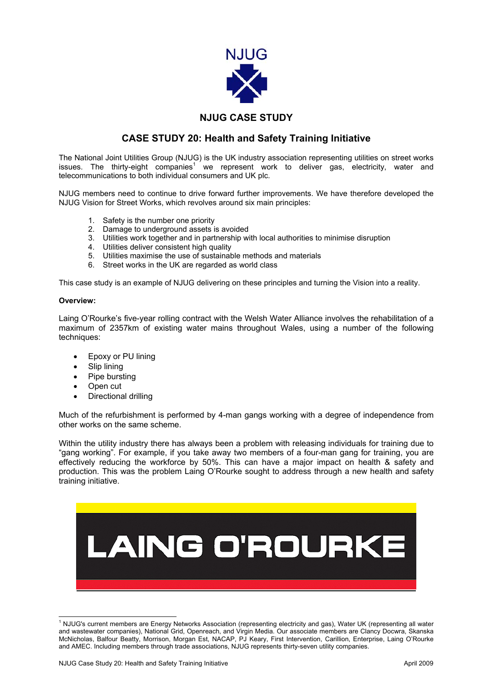

## **NJUG CASE STUDY**

## **CASE STUDY 20: Health and Safety Training Initiative**

The National Joint Utilities Group (NJUG) is the UK industry association representing utilities on street works issues. The thirty-eight companies<sup>[1](#page-0-0)</sup> we represent work to deliver gas, electricity, water and telecommunications to both individual consumers and UK plc.

NJUG members need to continue to drive forward further improvements. We have therefore developed the NJUG Vision for Street Works, which revolves around six main principles:

- 1. Safety is the number one priority
- 2. Damage to underground assets is avoided
- 3. Utilities work together and in partnership with local authorities to minimise disruption
- 4. Utilities deliver consistent high quality
- 5. Utilities maximise the use of sustainable methods and materials
- 6. Street works in the UK are regarded as world class

This case study is an example of NJUG delivering on these principles and turning the Vision into a reality.

## **Overview:**

Laing O'Rourke's five-year rolling contract with the Welsh Water Alliance involves the rehabilitation of a maximum of 2357km of existing water mains throughout Wales, using a number of the following techniques:

- Epoxy or PU lining
- Slip lining
- Pipe bursting
- Open cut
- Directional drilling

Much of the refurbishment is performed by 4-man gangs working with a degree of independence from other works on the same scheme.

Within the utility industry there has always been a problem with releasing individuals for training due to "gang working". For example, if you take away two members of a four-man gang for training, you are effectively reducing the workforce by 50%. This can have a major impact on health & safety and production. This was the problem Laing O'Rourke sought to address through a new health and safety training initiative.

<span id="page-0-0"></span>

 $\frac{1}{1}$  $1$  NJUG's current members are Energy Networks Association (representing electricity and gas), Water UK (representing all water and wastewater companies), National Grid, Openreach, and Virgin Media. Our associate members are Clancy Docwra, Skanska McNicholas, Balfour Beatty, Morrison, Morgan Est, NACAP, PJ Keary, First Intervention, Carillion, Enterprise, Laing O'Rourke and AMEC. Including members through trade associations, NJUG represents thirty-seven utility companies.